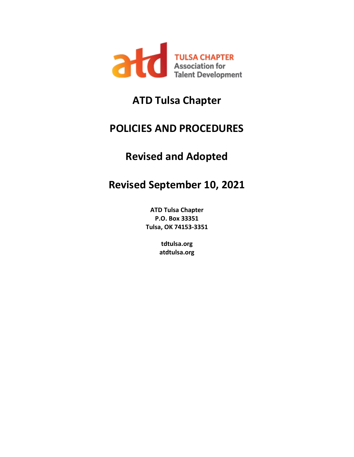

# **ATD Tulsa Chapter**

# **POLICIES AND PROCEDURES**

# **Revised and Adopted**

# **Revised September 10, 2021**

**ATD Tulsa Chapter P.O. Box 33351 Tulsa, OK 74153-3351**

> **tdtulsa.org atdtulsa.org**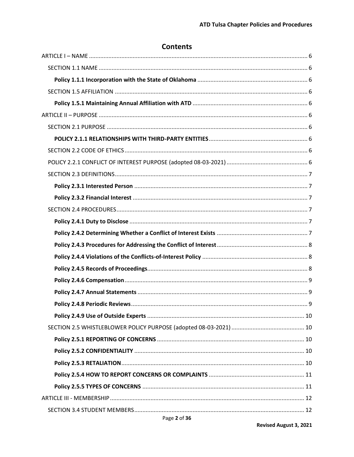| Page 2 of 36 |  |
|--------------|--|

# **Contents**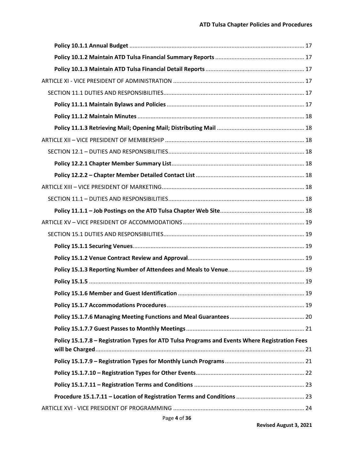| Policy 15.1.7.8 - Registration Types for ATD Tulsa Programs and Events Where Registration Fees |
|------------------------------------------------------------------------------------------------|
|                                                                                                |
|                                                                                                |
|                                                                                                |
|                                                                                                |
|                                                                                                |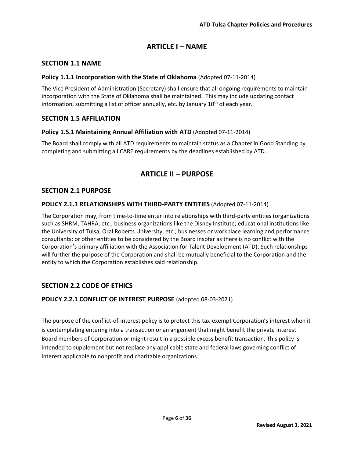# **ARTICLE I – NAME**

# <span id="page-5-1"></span><span id="page-5-0"></span>**SECTION 1.1 NAME**

#### <span id="page-5-2"></span>**Policy 1.1.1 Incorporation with the State of Oklahoma** (Adopted 07-11-2014)

The Vice President of Administration (Secretary) shall ensure that all ongoing requirements to maintain incorporation with the State of Oklahoma shall be maintained. This may include updating contact information, submitting a list of officer annually, etc. by January 10<sup>th</sup> of each year.

# <span id="page-5-3"></span>**SECTION 1.5 AFFILIATION**

#### <span id="page-5-4"></span>**Policy 1.5.1 Maintaining Annual Affiliation with ATD** (Adopted 07-11-2014)

<span id="page-5-5"></span>The Board shall comply with all ATD requirements to maintain status as a Chapter in Good Standing by completing and submitting all CARE requirements by the deadlines established by ATD.

# **ARTICLE II – PURPOSE**

## <span id="page-5-6"></span>**SECTION 2.1 PURPOSE**

#### <span id="page-5-7"></span>**POLICY 2.1.1 RELATIONSHIPS WITH THIRD-PARTY ENTITIES** (Adopted 07-11-2014)

The Corporation may, from time-to-time enter into relationships with third-party entities (organizations such as SHRM, TAHRA, etc.; business organizations like the Disney Institute; educational institutions like the University of Tulsa, Oral Roberts University, etc.; businesses or workplace learning and performance consultants; or other entities to be considered by the Board insofar as there is no conflict with the Corporation's primary affiliation with the Association for Talent Development (ATD). Such relationships will further the purpose of the Corporation and shall be mutually beneficial to the Corporation and the entity to which the Corporation establishes said relationship.

# <span id="page-5-8"></span>**SECTION 2.2 CODE OF ETHICS**

#### <span id="page-5-9"></span>**POLICY 2.2.1 CONFLICT OF INTEREST PURPOSE** (adopted 08-03-2021)

The purpose of the conflict-of-interest policy is to protect this tax-exempt Corporation's interest when it is contemplating entering into a transaction or arrangement that might benefit the private interest Board members of Corporation or might result in a possible excess benefit transaction. This policy is intended to supplement but not replace any applicable state and federal laws governing conflict of interest applicable to nonprofit and charitable organizations.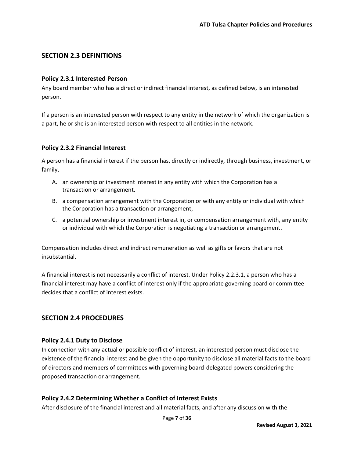# <span id="page-6-0"></span>**SECTION 2.3 DEFINITIONS**

#### <span id="page-6-1"></span>**Policy 2.3.1 Interested Person**

Any board member who has a direct or indirect financial interest, as defined below, is an interested person.

If a person is an interested person with respect to any entity in the network of which the organization is a part, he or she is an interested person with respect to all entities in the network.

#### <span id="page-6-2"></span>**Policy 2.3.2 Financial Interest**

A person has a financial interest if the person has, directly or indirectly, through business, investment, or family,

- A. an ownership or investment interest in any entity with which the Corporation has a transaction or arrangement,
- B. a compensation arrangement with the Corporation or with any entity or individual with which the Corporation has a transaction or arrangement,
- C. a potential ownership or investment interest in, or compensation arrangement with, any entity or individual with which the Corporation is negotiating a transaction or arrangement.

Compensation includes direct and indirect remuneration as well as gifts or favors that are not insubstantial.

A financial interest is not necessarily a conflict of interest. Under Policy 2.2.3.1, a person who has a financial interest may have a conflict of interest only if the appropriate governing board or committee decides that a conflict of interest exists.

# <span id="page-6-3"></span>**SECTION 2.4 PROCEDURES**

#### <span id="page-6-4"></span>**Policy 2.4.1 Duty to Disclose**

In connection with any actual or possible conflict of interest, an interested person must disclose the existence of the financial interest and be given the opportunity to disclose all material facts to the board of directors and members of committees with governing board-delegated powers considering the proposed transaction or arrangement.

## <span id="page-6-5"></span>**Policy 2.4.2 Determining Whether a Conflict of Interest Exists**

After disclosure of the financial interest and all material facts, and after any discussion with the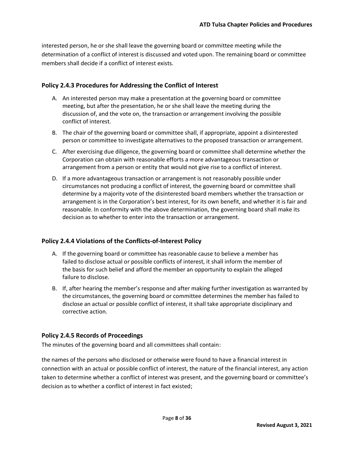interested person, he or she shall leave the governing board or committee meeting while the determination of a conflict of interest is discussed and voted upon. The remaining board or committee members shall decide if a conflict of interest exists.

# <span id="page-7-0"></span>**Policy 2.4.3 Procedures for Addressing the Conflict of Interest**

- A. An interested person may make a presentation at the governing board or committee meeting, but after the presentation, he or she shall leave the meeting during the discussion of, and the vote on, the transaction or arrangement involving the possible conflict of interest.
- B. The chair of the governing board or committee shall, if appropriate, appoint a disinterested person or committee to investigate alternatives to the proposed transaction or arrangement.
- C. After exercising due diligence, the governing board or committee shall determine whether the Corporation can obtain with reasonable efforts a more advantageous transaction or arrangement from a person or entity that would not give rise to a conflict of interest.
- D. If a more advantageous transaction or arrangement is not reasonably possible under circumstances not producing a conflict of interest, the governing board or committee shall determine by a majority vote of the disinterested board members whether the transaction or arrangement is in the Corporation's best interest, for its own benefit, and whether it is fair and reasonable. In conformity with the above determination, the governing board shall make its decision as to whether to enter into the transaction or arrangement.

# <span id="page-7-1"></span>**Policy 2.4.4 Violations of the Conflicts-of-Interest Policy**

- A. If the governing board or committee has reasonable cause to believe a member has failed to disclose actual or possible conflicts of interest, it shall inform the member of the basis for such belief and afford the member an opportunity to explain the alleged failure to disclose.
- B. If, after hearing the member's response and after making further investigation as warranted by the circumstances, the governing board or committee determines the member has failed to disclose an actual or possible conflict of interest, it shall take appropriate disciplinary and corrective action.

# <span id="page-7-2"></span>**Policy 2.4.5 Records of Proceedings**

The minutes of the governing board and all committees shall contain:

the names of the persons who disclosed or otherwise were found to have a financial interest in connection with an actual or possible conflict of interest, the nature of the financial interest, any action taken to determine whether a conflict of interest was present, and the governing board or committee's decision as to whether a conflict of interest in fact existed;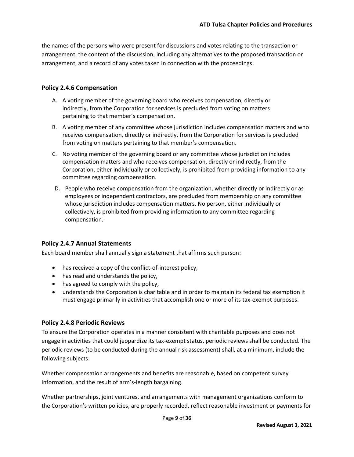the names of the persons who were present for discussions and votes relating to the transaction or arrangement, the content of the discussion, including any alternatives to the proposed transaction or arrangement, and a record of any votes taken in connection with the proceedings.

# <span id="page-8-0"></span>**Policy 2.4.6 Compensation**

- A. A voting member of the governing board who receives compensation, directly or indirectly, from the Corporation for services is precluded from voting on matters pertaining to that member's compensation.
- B. A voting member of any committee whose jurisdiction includes compensation matters and who receives compensation, directly or indirectly, from the Corporation for services is precluded from voting on matters pertaining to that member's compensation.
- C. No voting member of the governing board or any committee whose jurisdiction includes compensation matters and who receives compensation, directly or indirectly, from the Corporation, either individually or collectively, is prohibited from providing information to any committee regarding compensation.
- D. People who receive compensation from the organization, whether directly or indirectly or as employees or independent contractors, are precluded from membership on any committee whose jurisdiction includes compensation matters. No person, either individually or collectively, is prohibited from providing information to any committee regarding compensation.

## <span id="page-8-1"></span>**Policy 2.4.7 Annual Statements**

Each board member shall annually sign a statement that affirms such person:

- has received a copy of the conflict-of-interest policy,
- has read and understands the policy,
- has agreed to comply with the policy,
- understands the Corporation is charitable and in order to maintain its federal tax exemption it must engage primarily in activities that accomplish one or more of its tax-exempt purposes.

## <span id="page-8-2"></span>**Policy 2.4.8 Periodic Reviews**

To ensure the Corporation operates in a manner consistent with charitable purposes and does not engage in activities that could jeopardize its tax-exempt status, periodic reviews shall be conducted. The periodic reviews (to be conducted during the annual risk assessment) shall, at a minimum, include the following subjects:

Whether compensation arrangements and benefits are reasonable, based on competent survey information, and the result of arm's-length bargaining.

Whether partnerships, joint ventures, and arrangements with management organizations conform to the Corporation's written policies, are properly recorded, reflect reasonable investment or payments for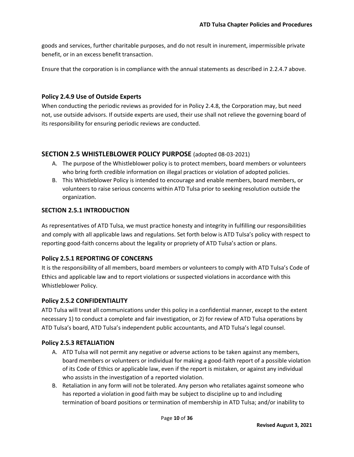goods and services, further charitable purposes, and do not result in inurement, impermissible private benefit, or in an excess benefit transaction.

Ensure that the corporation is in compliance with the annual statements as described in 2.2.4.7 above.

#### <span id="page-9-0"></span>**Policy 2.4.9 Use of Outside Experts**

When conducting the periodic reviews as provided for in Policy 2.4.8, the Corporation may, but need not, use outside advisors. If outside experts are used, their use shall not relieve the governing board of its responsibility for ensuring periodic reviews are conducted.

# <span id="page-9-1"></span>**SECTION 2.5 WHISTLEBLOWER POLICY PURPOSE** (adopted 08-03-2021)

- A. The purpose of the Whistleblower policy is to protect members, board members or volunteers who bring forth credible information on illegal practices or violation of adopted policies.
- B. This Whistleblower Policy is intended to encourage and enable members, board members, or volunteers to raise serious concerns within ATD Tulsa prior to seeking resolution outside the organization.

#### **SECTION 2.5.1 INTRODUCTION**

As representatives of ATD Tulsa, we must practice honesty and integrity in fulfilling our responsibilities and comply with all applicable laws and regulations. Set forth below is ATD Tulsa's policy with respect to reporting good-faith concerns about the legality or propriety of ATD Tulsa's action or plans.

## <span id="page-9-2"></span>**Policy 2.5.1 REPORTING OF CONCERNS**

It is the responsibility of all members, board members or volunteers to comply with ATD Tulsa's Code of Ethics and applicable law and to report violations or suspected violations in accordance with this Whistleblower Policy.

## <span id="page-9-3"></span>**Policy 2.5.2 CONFIDENTIALITY**

ATD Tulsa will treat all communications under this policy in a confidential manner, except to the extent necessary 1) to conduct a complete and fair investigation, or 2) for review of ATD Tulsa operations by ATD Tulsa's board, ATD Tulsa's independent public accountants, and ATD Tulsa's legal counsel.

## <span id="page-9-4"></span>**Policy 2.5.3 RETALIATION**

- A. ATD Tulsa will not permit any negative or adverse actions to be taken against any members, board members or volunteers or individual for making a good-faith report of a possible violation of its Code of Ethics or applicable law, even if the report is mistaken, or against any individual who assists in the investigation of a reported violation.
- B. Retaliation in any form will not be tolerated. Any person who retaliates against someone who has reported a violation in good faith may be subject to discipline up to and including termination of board positions or termination of membership in ATD Tulsa; and/or inability to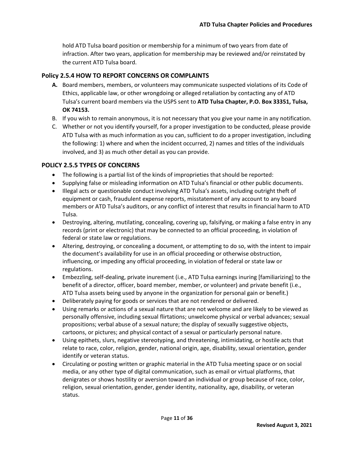hold ATD Tulsa board position or membership for a minimum of two years from date of infraction. After two years, application for membership may be reviewed and/or reinstated by the current ATD Tulsa board.

# <span id="page-10-0"></span>**Policy 2.5.4 HOW TO REPORT CONCERNS OR COMPLAINTS**

- **A.** Board members, members, or volunteers may communicate suspected violations of its Code of Ethics, applicable law, or other wrongdoing or alleged retaliation by contacting any of ATD Tulsa's current board members via the USPS sent to **ATD Tulsa Chapter, P.O. Box 33351, Tulsa, OK 74153.**
- B. If you wish to remain anonymous, it is not necessary that you give your name in any notification.
- C. Whether or not you identify yourself, for a proper investigation to be conducted, please provide ATD Tulsa with as much information as you can, sufficient to do a proper investigation, including the following: 1) where and when the incident occurred, 2) names and titles of the individuals involved, and 3) as much other detail as you can provide.

# <span id="page-10-1"></span>**POLICY 2.5.5 TYPES OF CONCERNS**

- The following is a partial list of the kinds of improprieties that should be reported:
- Supplying false or misleading information on ATD Tulsa's financial or other public documents.
- Illegal acts or questionable conduct involving ATD Tulsa's assets, including outright theft of equipment or cash, fraudulent expense reports, misstatement of any account to any board members or ATD Tulsa's auditors, or any conflict of interest that results in financial harm to ATD Tulsa.
- Destroying, altering, mutilating, concealing, covering up, falsifying, or making a false entry in any records (print or electronic) that may be connected to an official proceeding, in violation of federal or state law or regulations.
- Altering, destroying, or concealing a document, or attempting to do so, with the intent to impair the document's availability for use in an official proceeding or otherwise obstruction, influencing, or impeding any official proceeding, in violation of federal or state law or regulations.
- Embezzling, self-dealing, private inurement (i.e., ATD Tulsa earnings inuring [familiarizing] to the benefit of a director, officer, board member, member, or volunteer) and private benefit (i.e., ATD Tulsa assets being used by anyone in the organization for personal gain or benefit.)
- Deliberately paying for goods or services that are not rendered or delivered.
- Using remarks or actions of a sexual nature that are not welcome and are likely to be viewed as personally offensive, including sexual flirtations; unwelcome physical or verbal advances; sexual propositions; verbal abuse of a sexual nature; the display of sexually suggestive objects, cartoons, or pictures; and physical contact of a sexual or particularly personal nature.
- Using epithets, slurs, negative stereotyping, and threatening, intimidating, or hostile acts that relate to race, color, religion, gender, national origin, age, disability, sexual orientation, gender identify or veteran status.
- Circulating or posting written or graphic material in the ATD Tulsa meeting space or on social media, or any other type of digital communication, such as email or virtual platforms, that denigrates or shows hostility or aversion toward an individual or group because of race, color, religion, sexual orientation, gender, gender identity, nationality, age, disability, or veteran status.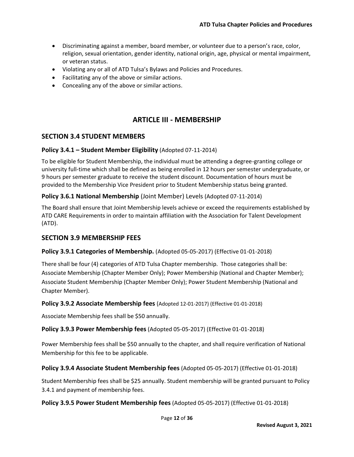- Discriminating against a member, board member, or volunteer due to a person's race, color, religion, sexual orientation, gender identity, national origin, age, physical or mental impairment, or veteran status.
- Violating any or all of ATD Tulsa's Bylaws and Policies and Procedures.
- Facilitating any of the above or similar actions.
- <span id="page-11-0"></span>• Concealing any of the above or similar actions.

# **ARTICLE III - MEMBERSHIP**

# <span id="page-11-1"></span>**SECTION 3.4 STUDENT MEMBERS**

## <span id="page-11-2"></span>**Policy 3.4.1 – Student Member Eligibility** (Adopted 07-11-2014)

To be eligible for Student Membership, the individual must be attending a degree-granting college or university full-time which shall be defined as being enrolled in 12 hours per semester undergraduate, or 9 hours per semester graduate to receive the student discount. Documentation of hours must be provided to the Membership Vice President prior to Student Membership status being granted.

## <span id="page-11-3"></span>**Policy 3.6.1 National Membership** (Joint Member) Levels (Adopted 07-11-2014)

The Board shall ensure that Joint Membership levels achieve or exceed the requirements established by ATD CARE Requirements in order to maintain affiliation with the Association for Talent Development (ATD).

## <span id="page-11-4"></span>**SECTION 3.9 MEMBERSHIP FEES**

#### <span id="page-11-5"></span>**Policy 3.9.1 Categories of Membership.** (Adopted 05-05-2017) (Effective 01-01-2018)

There shall be four (4) categories of ATD Tulsa Chapter membership. Those categories shall be: Associate Membership (Chapter Member Only); Power Membership (National and Chapter Member); Associate Student Membership (Chapter Member Only); Power Student Membership (National and Chapter Member).

#### <span id="page-11-6"></span>**Policy 3.9.2 Associate Membership fees** (Adopted 12-01-2017) (Effective 01-01-2018)

Associate Membership fees shall be \$50 annually.

<span id="page-11-7"></span>**Policy 3.9.3 Power Membership fees** (Adopted 05-05-2017) (Effective 01-01-2018)

Power Membership fees shall be \$50 annually to the chapter, and shall require verification of National Membership for this fee to be applicable.

## <span id="page-11-8"></span>**Policy 3.9.4 Associate Student Membership fees** (Adopted 05-05-2017) (Effective 01-01-2018)

Student Membership fees shall be \$25 annually. Student membership will be granted pursuant to Policy 3.4.1 and payment of membership fees.

<span id="page-11-9"></span>**Policy 3.9.5 Power Student Membership fees** (Adopted 05-05-2017) (Effective 01-01-2018)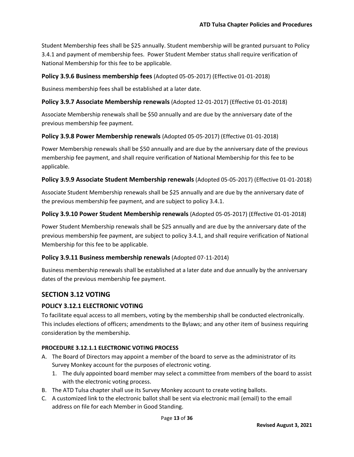Student Membership fees shall be \$25 annually. Student membership will be granted pursuant to Policy 3.4.1 and payment of membership fees. Power Student Member status shall require verification of National Membership for this fee to be applicable.

## <span id="page-12-0"></span>**Policy 3.9.6 Business membership fees** (Adopted 05-05-2017) (Effective 01-01-2018)

Business membership fees shall be established at a later date.

#### <span id="page-12-1"></span>**Policy 3.9.7 Associate Membership renewals** (Adopted 12-01-2017) (Effective 01-01-2018)

Associate Membership renewals shall be \$50 annually and are due by the anniversary date of the previous membership fee payment.

#### <span id="page-12-2"></span>**Policy 3.9.8 Power Membership renewals** (Adopted 05-05-2017) (Effective 01-01-2018)

Power Membership renewals shall be \$50 annually and are due by the anniversary date of the previous membership fee payment, and shall require verification of National Membership for this fee to be applicable.

#### <span id="page-12-3"></span>**Policy 3.9.9 Associate Student Membership renewals** (Adopted 05-05-2017) (Effective 01-01-2018)

Associate Student Membership renewals shall be \$25 annually and are due by the anniversary date of the previous membership fee payment, and are subject to policy 3.4.1.

#### <span id="page-12-4"></span>**Policy 3.9.10 Power Student Membership renewals** (Adopted 05-05-2017) (Effective 01-01-2018)

Power Student Membership renewals shall be \$25 annually and are due by the anniversary date of the previous membership fee payment, are subject to policy 3.4.1, and shall require verification of National Membership for this fee to be applicable.

#### <span id="page-12-5"></span>**Policy 3.9.11 Business membership renewals** (Adopted 07-11-2014)

Business membership renewals shall be established at a later date and due annually by the anniversary dates of the previous membership fee payment.

## <span id="page-12-6"></span>**SECTION 3.12 VOTING**

## <span id="page-12-7"></span>**POLICY 3.12.1 ELECTRONIC VOTING**

To facilitate equal access to all members, voting by the membership shall be conducted electronically. This includes elections of officers; amendments to the Bylaws; and any other item of business requiring consideration by the membership.

#### **PROCEDURE 3.12.1.1 ELECTRONIC VOTING PROCESS**

- A. The Board of Directors may appoint a member of the board to serve as the administrator of its Survey Monkey account for the purposes of electronic voting.
	- 1. The duly appointed board member may select a committee from members of the board to assist with the electronic voting process.
- B. The ATD Tulsa chapter shall use its Survey Monkey account to create voting ballots.
- C. A customized link to the electronic ballot shall be sent via electronic mail (email) to the email address on file for each Member in Good Standing.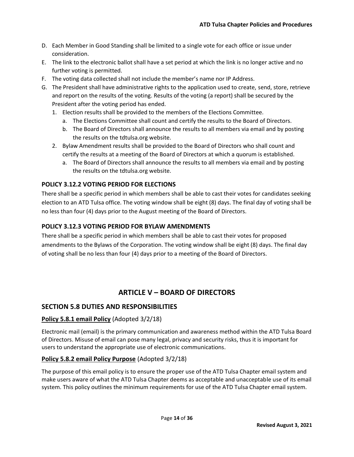- D. Each Member in Good Standing shall be limited to a single vote for each office or issue under consideration.
- E. The link to the electronic ballot shall have a set period at which the link is no longer active and no further voting is permitted.
- F. The voting data collected shall not include the member's name nor IP Address.
- G. The President shall have administrative rights to the application used to create, send, store, retrieve and report on the results of the voting. Results of the voting (a report) shall be secured by the President after the voting period has ended.
	- 1. Election results shall be provided to the members of the Elections Committee.
		- a. The Elections Committee shall count and certify the results to the Board of Directors.
		- b. The Board of Directors shall announce the results to all members via email and by posting the results on the tdtulsa.org website.
	- 2. Bylaw Amendment results shall be provided to the Board of Directors who shall count and certify the results at a meeting of the Board of Directors at which a quorum is established.
		- a. The Board of Directors shall announce the results to all members via email and by posting the results on the tdtulsa.org website.

# <span id="page-13-0"></span>**POLICY 3.12.2 VOTING PERIOD FOR ELECTIONS**

There shall be a specific period in which members shall be able to cast their votes for candidates seeking election to an ATD Tulsa office. The voting window shall be eight (8) days. The final day of voting shall be no less than four (4) days prior to the August meeting of the Board of Directors.

# <span id="page-13-1"></span>**POLICY 3.12.3 VOTING PERIOD FOR BYLAW AMENDMENTS**

There shall be a specific period in which members shall be able to cast their votes for proposed amendments to the Bylaws of the Corporation. The voting window shall be eight (8) days. The final day of voting shall be no less than four (4) days prior to a meeting of the Board of Directors.

# **ARTICLE V – BOARD OF DIRECTORS**

## <span id="page-13-3"></span><span id="page-13-2"></span>**SECTION 5.8 DUTIES AND RESPONSIBILITIES**

## <span id="page-13-4"></span>**Policy 5.8.1 email Policy** (Adopted 3/2/18)

Electronic mail (email) is the primary communication and awareness method within the ATD Tulsa Board of Directors. Misuse of email can pose many legal, privacy and security risks, thus it is important for users to understand the appropriate use of electronic communications.

## <span id="page-13-5"></span>**Policy 5.8.2 email Policy Purpose** (Adopted 3/2/18)

The purpose of this email policy is to ensure the proper use of the ATD Tulsa Chapter email system and make users aware of what the ATD Tulsa Chapter deems as acceptable and unacceptable use of its email system. This policy outlines the minimum requirements for use of the ATD Tulsa Chapter email system.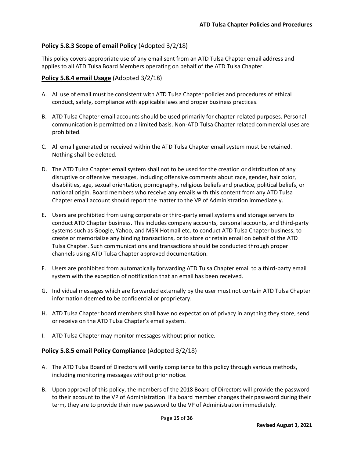# <span id="page-14-0"></span>**Policy 5.8.3 Scope of email Policy** (Adopted 3/2/18)

This policy covers appropriate use of any email sent from an ATD Tulsa Chapter email address and applies to all ATD Tulsa Board Members operating on behalf of the ATD Tulsa Chapter.

## <span id="page-14-1"></span>**Policy 5.8.4 email Usage** (Adopted 3/2/18)

- A. All use of email must be consistent with ATD Tulsa Chapter policies and procedures of ethical conduct, safety, compliance with applicable laws and proper business practices.
- B. ATD Tulsa Chapter email accounts should be used primarily for chapter-related purposes. Personal communication is permitted on a limited basis. Non-ATD Tulsa Chapter related commercial uses are prohibited.
- C. All email generated or received within the ATD Tulsa Chapter email system must be retained. Nothing shall be deleted.
- D. The ATD Tulsa Chapter email system shall not to be used for the creation or distribution of any disruptive or offensive messages, including offensive comments about race, gender, hair color, disabilities, age, sexual orientation, pornography, religious beliefs and practice, political beliefs, or national origin. Board members who receive any emails with this content from any ATD Tulsa Chapter email account should report the matter to the VP of Administration immediately.
- E. Users are prohibited from using corporate or third-party email systems and storage servers to conduct ATD Chapter business. This includes company accounts, personal accounts, and third-party systems such as Google, Yahoo, and MSN Hotmail etc. to conduct ATD Tulsa Chapter business, to create or memorialize any binding transactions, or to store or retain email on behalf of the ATD Tulsa Chapter. Such communications and transactions should be conducted through proper channels using ATD Tulsa Chapter approved documentation.
- F. Users are prohibited from automatically forwarding ATD Tulsa Chapter email to a third-party email system with the exception of notification that an email has been received.
- G. Individual messages which are forwarded externally by the user must not contain ATD Tulsa Chapter information deemed to be confidential or proprietary.
- H. ATD Tulsa Chapter board members shall have no expectation of privacy in anything they store, send or receive on the ATD Tulsa Chapter's email system.
- I. ATD Tulsa Chapter may monitor messages without prior notice.

## <span id="page-14-2"></span>**Policy 5.8.5 email Policy Compliance** (Adopted 3/2/18)

- A. The ATD Tulsa Board of Directors will verify compliance to this policy through various methods, including monitoring messages without prior notice.
- B. Upon approval of this policy, the members of the 2018 Board of Directors will provide the password to their account to the VP of Administration. If a board member changes their password during their term, they are to provide their new password to the VP of Administration immediately.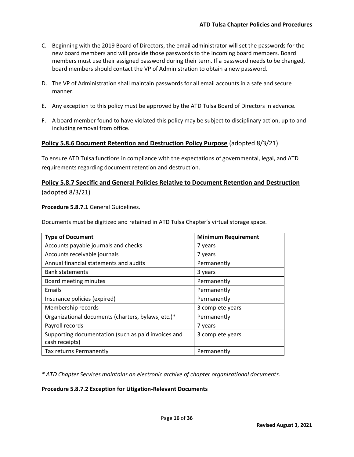- C. Beginning with the 2019 Board of Directors, the email administrator will set the passwords for the new board members and will provide those passwords to the incoming board members. Board members must use their assigned password during their term. If a password needs to be changed, board members should contact the VP of Administration to obtain a new password.
- D. The VP of Administration shall maintain passwords for all email accounts in a safe and secure manner.
- E. Any exception to this policy must be approved by the ATD Tulsa Board of Directors in advance.
- F. A board member found to have violated this policy may be subject to disciplinary action, up to and including removal from office.

# **Policy 5.8.6 Document Retention and Destruction Policy Purpose** (adopted 8/3/21)

To ensure ATD Tulsa functions in compliance with the expectations of governmental, legal, and ATD requirements regarding document retention and destruction.

# **Policy 5.8.7 Specific and General Policies Relative to Document Retention and Destruction** (adopted 8/3/21)

**Procedure 5.8.7.1** General Guidelines.

Documents must be digitized and retained in ATD Tulsa Chapter's virtual storage space.

| <b>Type of Document</b>                             | <b>Minimum Requirement</b> |
|-----------------------------------------------------|----------------------------|
| Accounts payable journals and checks                | 7 years                    |
| Accounts receivable journals                        | 7 years                    |
| Annual financial statements and audits              | Permanently                |
| <b>Bank statements</b>                              | 3 years                    |
| Board meeting minutes                               | Permanently                |
| Emails                                              | Permanently                |
| Insurance policies (expired)                        | Permanently                |
| Membership records                                  | 3 complete years           |
| Organizational documents (charters, bylaws, etc.)*  | Permanently                |
| Payroll records                                     | 7 years                    |
| Supporting documentation (such as paid invoices and | 3 complete years           |
| cash receipts)                                      |                            |
| Tax returns Permanently                             | Permanently                |

*\* ATD Chapter Services maintains an electronic archive of chapter organizational documents.* 

#### **Procedure 5.8.7.2 Exception for Litigation-Relevant Documents**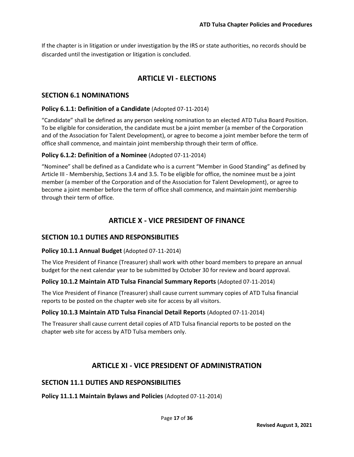<span id="page-16-0"></span>If the chapter is in litigation or under investigation by the IRS or state authorities, no records should be discarded until the investigation or litigation is concluded.

# **ARTICLE VI - ELECTIONS**

# <span id="page-16-1"></span>**SECTION 6.1 NOMINATIONS**

## <span id="page-16-2"></span>**Policy 6.1.1: Definition of a Candidate** (Adopted 07-11-2014)

"Candidate" shall be defined as any person seeking nomination to an elected ATD Tulsa Board Position. To be eligible for consideration, the candidate must be a joint member (a member of the Corporation and of the Association for Talent Development), or agree to become a joint member before the term of office shall commence, and maintain joint membership through their term of office.

# <span id="page-16-3"></span>**Policy 6.1.2: Definition of a Nominee** (Adopted 07-11-2014)

"Nominee" shall be defined as a Candidate who is a current "Member in Good Standing" as defined by Article III - Membership, Sections 3.4 and 3.5. To be eligible for office, the nominee must be a joint member (a member of the Corporation and of the Association for Talent Development), or agree to become a joint member before the term of office shall commence, and maintain joint membership through their term of office.

# **ARTICLE X - VICE PRESIDENT OF FINANCE**

# <span id="page-16-5"></span><span id="page-16-4"></span>**SECTION 10.1 DUTIES AND RESPONSIBLITIES**

# <span id="page-16-6"></span>**Policy 10.1.1 Annual Budget** (Adopted 07-11-2014)

The Vice President of Finance (Treasurer) shall work with other board members to prepare an annual budget for the next calendar year to be submitted by October 30 for review and board approval.

# <span id="page-16-7"></span>**Policy 10.1.2 Maintain ATD Tulsa Financial Summary Reports** (Adopted 07-11-2014)

The Vice President of Finance (Treasurer) shall cause current summary copies of ATD Tulsa financial reports to be posted on the chapter web site for access by all visitors.

## <span id="page-16-8"></span>**Policy 10.1.3 Maintain ATD Tulsa Financial Detail Reports** (Adopted 07-11-2014)

The Treasurer shall cause current detail copies of ATD Tulsa financial reports to be posted on the chapter web site for access by ATD Tulsa members only.

# **ARTICLE XI - VICE PRESIDENT OF ADMINISTRATION**

# <span id="page-16-10"></span><span id="page-16-9"></span>**SECTION 11.1 DUTIES AND RESPONSIBILITIES**

<span id="page-16-11"></span>**Policy 11.1.1 Maintain Bylaws and Policies** (Adopted 07-11-2014)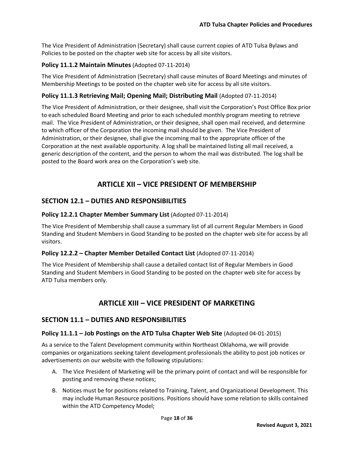The Vice President of Administration (Secretary) shall cause current copies of ATD Tulsa Bylaws and Policies to be posted on the chapter web site for access by all site visitors.

# <span id="page-17-0"></span>**Policy 11.1.2 Maintain Minutes** (Adopted 07-11-2014)

The Vice President of Administration (Secretary) shall cause minutes of Board Meetings and minutes of Membership Meetings to be posted on the chapter web site for access by all site visitors.

# <span id="page-17-1"></span>**Policy 11.1.3 Retrieving Mail; Opening Mail; Distributing Mail** (Adopted 07-11-2014)

The Vice President of Administration, or their designee, shall visit the Corporation's Post Office Box prior to each scheduled Board Meeting and prior to each scheduled monthly program meeting to retrieve mail. The Vice President of Administration, or their designee, shall open mail received, and determine to which officer of the Corporation the incoming mail should be given. The Vice President of Administration, or their designee, shall give the incoming mail to the appropriate officer of the Corporation at the next available opportunity. A log shall be maintained listing all mail received, a generic description of the content, and the person to whom the mail was distributed. The log shall be posted to the Board work area on the Corporation's web site.

# **ARTICLE XII – VICE PRESIDENT OF MEMBERSHIP**

# <span id="page-17-3"></span><span id="page-17-2"></span>**SECTION 12.1 – DUTIES AND RESPONSIBILITIES**

## <span id="page-17-4"></span>**Policy 12.2.1 Chapter Member Summary List** (Adopted 07-11-2014)

The Vice President of Membership shall cause a summary list of all current Regular Members in Good Standing and Student Members in Good Standing to be posted on the chapter web site for access by all visitors.

## <span id="page-17-5"></span>**Policy 12.2.2 – Chapter Member Detailed Contact List** (Adopted 07-11-2014)

<span id="page-17-6"></span>The Vice President of Membership shall cause a detailed contact list of Regular Members in Good Standing and Student Members in Good Standing to be posted on the chapter web site for access by ATD Tulsa members only.

# **ARTICLE XIII – VICE PRESIDENT OF MARKETING**

## <span id="page-17-7"></span>**SECTION 11.1 – DUTIES AND RESPONSIBILITIES**

## <span id="page-17-8"></span>**Policy 11.1.1 – Job Postings on the ATD Tulsa Chapter Web Site** (Adopted 04-01-2015)

As a service to the Talent Development community within Northeast Oklahoma, we will provide companies or organizations seeking talent development professionals the ability to post job notices or advertisements on our website with the following stipulations:

- A. The Vice President of Marketing will be the primary point of contact and will be responsible for posting and removing these notices;
- B. Notices must be for positions related to Training, Talent, and Organizational Development. This may include Human Resource positions. Positions should have some relation to skills contained within the ATD Competency Model;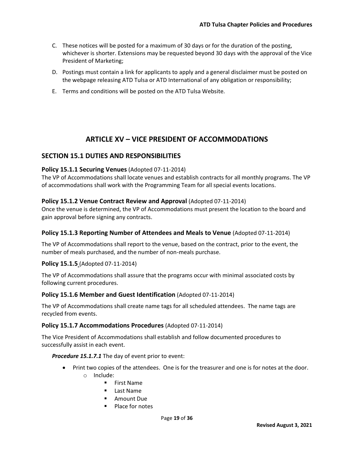- C. These notices will be posted for a maximum of 30 days or for the duration of the posting, whichever is shorter. Extensions may be requested beyond 30 days with the approval of the Vice President of Marketing;
- D. Postings must contain a link for applicants to apply and a general disclaimer must be posted on the webpage releasing ATD Tulsa or ATD International of any obligation or responsibility;
- E. Terms and conditions will be posted on the ATD Tulsa Website.

# **ARTICLE XV – VICE PRESIDENT OF ACCOMMODATIONS**

# <span id="page-18-1"></span><span id="page-18-0"></span>**SECTION 15.1 DUTIES AND RESPONSIBILITIES**

#### <span id="page-18-2"></span>**Policy 15.1.1 Securing Venues** (Adopted 07-11-2014)

The VP of Accommodations shall locate venues and establish contracts for all monthly programs. The VP of accommodations shall work with the Programming Team for all special events locations.

#### <span id="page-18-3"></span>**Policy 15.1.2 Venue Contract Review and Approval** (Adopted 07-11-2014)

Once the venue is determined, the VP of Accommodations must present the location to the board and gain approval before signing any contracts.

#### <span id="page-18-4"></span>**Policy 15.1.3 Reporting Number of Attendees and Meals to Venue** (Adopted 07-11-2014)

The VP of Accommodations shall report to the venue, based on the contract, prior to the event, the number of meals purchased, and the number of non-meals purchase.

#### <span id="page-18-5"></span>**Policy 15.1.5** (Adopted 07-11-2014)

The VP of Accommodations shall assure that the programs occur with minimal associated costs by following current procedures.

#### <span id="page-18-6"></span>**Policy 15.1.6 Member and Guest Identification** (Adopted 07-11-2014)

The VP of Accommodations shall create name tags for all scheduled attendees. The name tags are recycled from events.

#### <span id="page-18-7"></span>**Policy 15.1.7 Accommodations Procedures** (Adopted 07-11-2014)

The Vice President of Accommodations shall establish and follow documented procedures to successfully assist in each event.

#### *Procedure 15.1.7.1* The day of event prior to event:

- Print two copies of the attendees. One is for the treasurer and one is for notes at the door.
	- o Include:
		- First Name
		- Last Name
		- Amount Due
		- Place for notes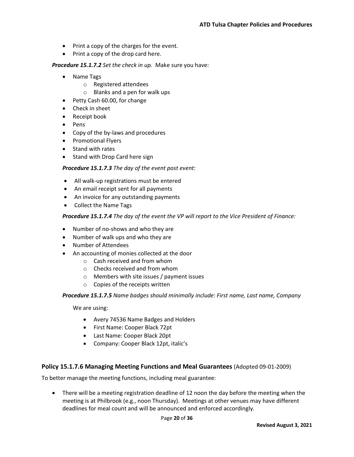- Print a copy of the charges for the event.
- Print a copy of the drop card here.

*Procedure 15.1.7.2 Set the check in up.* Make sure you have:

- Name Tags
	- o Registered attendees
	- o Blanks and a pen for walk ups
- Petty Cash 60.00, for change
- Check in sheet
- Receipt book
- Pens
- Copy of the by-laws and procedures
- Promotional Flyers
- Stand with rates
- Stand with Drop Card here sign

#### *Procedure 15.1.7.3 The day of the event post event:*

- All walk-up registrations must be entered
- An email receipt sent for all payments
- An invoice for any outstanding payments
- Collect the Name Tags

#### *Procedure 15.1.7.4 The day of the event the VP will report to the Vice President of Finance:*

- Number of no-shows and who they are
- Number of walk ups and who they are
- Number of Attendees
- An accounting of monies collected at the door
	- o Cash received and from whom
	- o Checks received and from whom
	- o Members with site issues / payment issues
	- o Copies of the receipts written

*Procedure 15.1.7.5 Name badges should minimally include: First name, Last name, Company* 

We are using:

- Avery 74536 Name Badges and Holders
- First Name: Cooper Black 72pt
- Last Name: Cooper Black 20pt
- Company: Cooper Black 12pt, italic's

#### <span id="page-19-0"></span>**Policy 15.1.7.6 Managing Meeting Functions and Meal Guarantees** (Adopted 09-01-2009)

To better manage the meeting functions, including meal guarantee:

• There will be a meeting registration deadline of 12 noon the day before the meeting when the meeting is at Philbrook (e.g., noon Thursday). Meetings at other venues may have different deadlines for meal count and will be announced and enforced accordingly.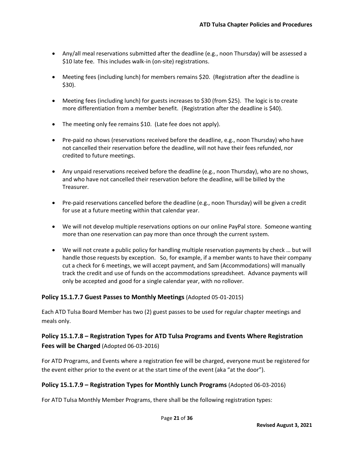- Any/all meal reservations submitted after the deadline (e.g., noon Thursday) will be assessed a \$10 late fee. This includes walk-in (on-site) registrations.
- Meeting fees (including lunch) for members remains \$20. (Registration after the deadline is \$30).
- Meeting fees (including lunch) for guests increases to \$30 (from \$25). The logic is to create more differentiation from a member benefit. (Registration after the deadline is \$40).
- The meeting only fee remains \$10. (Late fee does not apply).
- Pre-paid no shows (reservations received before the deadline, e.g., noon Thursday) who have not cancelled their reservation before the deadline, will not have their fees refunded, nor credited to future meetings.
- Any unpaid reservations received before the deadline (e.g., noon Thursday), who are no shows, and who have not cancelled their reservation before the deadline, will be billed by the Treasurer.
- Pre-paid reservations cancelled before the deadline (e.g., noon Thursday) will be given a credit for use at a future meeting within that calendar year.
- We will not develop multiple reservations options on our online PayPal store. Someone wanting more than one reservation can pay more than once through the current system.
- We will not create a public policy for handling multiple reservation payments by check … but will handle those requests by exception. So, for example, if a member wants to have their company cut a check for 6 meetings, we will accept payment, and Sam (Accommodations) will manually track the credit and use of funds on the accommodations spreadsheet. Advance payments will only be accepted and good for a single calendar year, with no rollover.

# <span id="page-20-0"></span>**Policy 15.1.7.7 Guest Passes to Monthly Meetings** (Adopted 05-01-2015)

Each ATD Tulsa Board Member has two (2) guest passes to be used for regular chapter meetings and meals only.

# <span id="page-20-1"></span>**Policy 15.1.7.8 – Registration Types for ATD Tulsa Programs and Events Where Registration Fees will be Charged** (Adopted 06-03-2016)

For ATD Programs, and Events where a registration fee will be charged, everyone must be registered for the event either prior to the event or at the start time of the event (aka "at the door").

## <span id="page-20-2"></span>**Policy 15.1.7.9 – Registration Types for Monthly Lunch Programs** (Adopted 06-03-2016)

For ATD Tulsa Monthly Member Programs, there shall be the following registration types: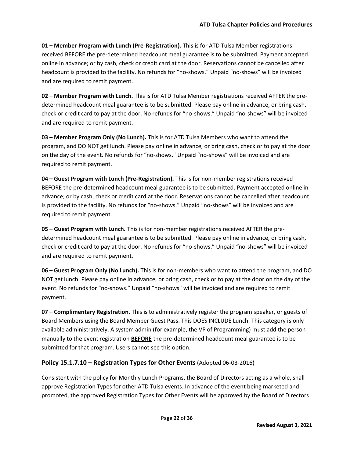**01 – Member Program with Lunch (Pre-Registration).** This is for ATD Tulsa Member registrations received BEFORE the pre-determined headcount meal guarantee is to be submitted. Payment accepted online in advance; or by cash, check or credit card at the door. Reservations cannot be cancelled after headcount is provided to the facility. No refunds for "no-shows." Unpaid "no-shows" will be invoiced and are required to remit payment.

**02 – Member Program with Lunch.** This is for ATD Tulsa Member registrations received AFTER the predetermined headcount meal guarantee is to be submitted. Please pay online in advance, or bring cash, check or credit card to pay at the door. No refunds for "no-shows." Unpaid "no-shows" will be invoiced and are required to remit payment.

**03 – Member Program Only (No Lunch).** This is for ATD Tulsa Members who want to attend the program, and DO NOT get lunch. Please pay online in advance, or bring cash, check or to pay at the door on the day of the event. No refunds for "no-shows." Unpaid "no-shows" will be invoiced and are required to remit payment.

**04 – Guest Program with Lunch (Pre-Registration).** This is for non-member registrations received BEFORE the pre-determined headcount meal guarantee is to be submitted. Payment accepted online in advance; or by cash, check or credit card at the door. Reservations cannot be cancelled after headcount is provided to the facility. No refunds for "no-shows." Unpaid "no-shows" will be invoiced and are required to remit payment.

**05 – Guest Program with Lunch.** This is for non-member registrations received AFTER the predetermined headcount meal guarantee is to be submitted. Please pay online in advance, or bring cash, check or credit card to pay at the door. No refunds for "no-shows." Unpaid "no-shows" will be invoiced and are required to remit payment.

**06 – Guest Program Only (No Lunch).** This is for non-members who want to attend the program, and DO NOT get lunch. Please pay online in advance, or bring cash, check or to pay at the door on the day of the event. No refunds for "no-shows." Unpaid "no-shows" will be invoiced and are required to remit payment.

**07 – Complimentary Registration.** This is to administratively register the program speaker, or guests of Board Members using the Board Member Guest Pass. This DOES INCLUDE Lunch. This category is only available administratively. A system admin (for example, the VP of Programming) must add the person manually to the event registration **BEFORE** the pre-determined headcount meal guarantee is to be submitted for that program. Users cannot see this option.

# <span id="page-21-0"></span>**Policy 15.1.7.10 – Registration Types for Other Events** (Adopted 06-03-2016)

Consistent with the policy for Monthly Lunch Programs, the Board of Directors acting as a whole, shall approve Registration Types for other ATD Tulsa events. In advance of the event being marketed and promoted, the approved Registration Types for Other Events will be approved by the Board of Directors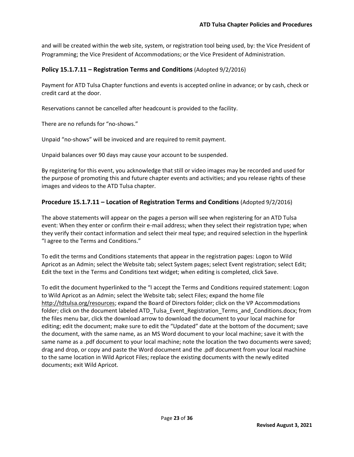and will be created within the web site, system, or registration tool being used, by: the Vice President of Programming; the Vice President of Accommodations; or the Vice President of Administration.

# <span id="page-22-0"></span>**Policy 15.1.7.11 – Registration Terms and Conditions** (Adopted 9/2/2016)

Payment for ATD Tulsa Chapter functions and events is accepted online in advance; or by cash, check or credit card at the door.

Reservations cannot be cancelled after headcount is provided to the facility.

There are no refunds for "no-shows."

Unpaid "no-shows" will be invoiced and are required to remit payment.

Unpaid balances over 90 days may cause your account to be suspended.

By registering for this event, you acknowledge that still or video images may be recorded and used for the purpose of promoting this and future chapter events and activities; and you release rights of these images and videos to the ATD Tulsa chapter.

## <span id="page-22-1"></span>**Procedure 15.1.7.11 – Location of Registration Terms and Conditions** (Adopted 9/2/2016)

The above statements will appear on the pages a person will see when registering for an ATD Tulsa event: When they enter or confirm their e-mail address; when they select their registration type; when they verify their contact information and select their meal type; and required selection in the hyperlink "I agree to the Terms and Conditions."

To edit the terms and Conditions statements that appear in the registration pages: Logon to Wild Apricot as an Admin; select the Website tab; select System pages; select Event registration; select Edit; Edit the text in the Terms and Conditions text widget; when editing is completed, click Save.

To edit the document hyperlinked to the "I accept the Terms and Conditions required statement: Logon to Wild Apricot as an Admin; select the Website tab; select Files; expand the home file [http://tdtulsa.org/resources;](http://tdtulsa.org/resources) expand the Board of Directors folder; click on the VP Accommodations folder; click on the document labeled ATD\_Tulsa\_Event\_Registration\_Terms\_and\_Conditions.docx; from the files menu bar, click the download arrow to download the document to your local machine for editing; edit the document; make sure to edit the "Updated" date at the bottom of the document; save the document, with the same name, as an MS Word document to your local machine; save it with the same name as a .pdf document to your local machine; note the location the two documents were saved; drag and drop, or copy and paste the Word document and the .pdf document from your local machine to the same location in Wild Apricot Files; replace the existing documents with the newly edited documents; exit Wild Apricot.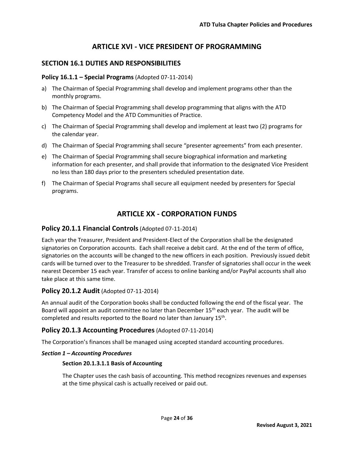# **ARTICLE XVI - VICE PRESIDENT OF PROGRAMMING**

# <span id="page-23-1"></span><span id="page-23-0"></span>**SECTION 16.1 DUTIES AND RESPONSIBILITIES**

## <span id="page-23-2"></span>**Policy 16.1.1 – Special Programs** (Adopted 07-11-2014)

- a) The Chairman of Special Programming shall develop and implement programs other than the monthly programs.
- b) The Chairman of Special Programming shall develop programming that aligns with the ATD Competency Model and the ATD Communities of Practice.
- c) The Chairman of Special Programming shall develop and implement at least two (2) programs for the calendar year.
- d) The Chairman of Special Programming shall secure "presenter agreements" from each presenter.
- e) The Chairman of Special Programming shall secure biographical information and marketing information for each presenter, and shall provide that information to the designated Vice President no less than 180 days prior to the presenters scheduled presentation date.
- <span id="page-23-3"></span>f) The Chairman of Special Programs shall secure all equipment needed by presenters for Special programs.

# **ARTICLE XX - CORPORATION FUNDS**

# <span id="page-23-4"></span>**Policy 20.1.1 Financial Controls**(Adopted 07-11-2014)

Each year the Treasurer, President and President-Elect of the Corporation shall be the designated signatories on Corporation accounts. Each shall receive a debit card. At the end of the term of office, signatories on the accounts will be changed to the new officers in each position. Previously issued debit cards will be turned over to the Treasurer to be shredded. Transfer of signatories shall occur in the week nearest December 15 each year. Transfer of access to online banking and/or PayPal accounts shall also take place at this same time.

# <span id="page-23-5"></span>**Policy 20.1.2 Audit** (Adopted 07-11-2014)

An annual audit of the Corporation books shall be conducted following the end of the fiscal year. The Board will appoint an audit committee no later than December  $15<sup>th</sup>$  each year. The audit will be completed and results reported to the Board no later than January 15<sup>th</sup>.

# <span id="page-23-6"></span>**Policy 20.1.3 Accounting Procedures** (Adopted 07-11-2014)

The Corporation's finances shall be managed using accepted standard accounting procedures.

## *Section 1 – Accounting Procedures*

## **Section 20.1.3.1.1 Basis of Accounting**

The Chapter uses the cash basis of accounting. This method recognizes revenues and expenses at the time physical cash is actually received or paid out.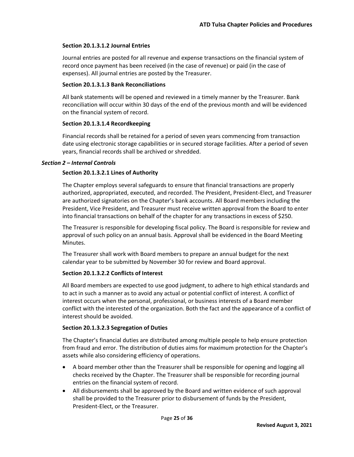#### **Section 20.1.3.1.2 Journal Entries**

Journal entries are posted for all revenue and expense transactions on the financial system of record once payment has been received (in the case of revenue) or paid (in the case of expenses). All journal entries are posted by the Treasurer.

#### **Section 20.1.3.1.3 Bank Reconciliations**

All bank statements will be opened and reviewed in a timely manner by the Treasurer. Bank reconciliation will occur within 30 days of the end of the previous month and will be evidenced on the financial system of record.

#### **Section 20.1.3.1.4 Recordkeeping**

Financial records shall be retained for a period of seven years commencing from transaction date using electronic storage capabilities or in secured storage facilities. After a period of seven years, financial records shall be archived or shredded.

#### *Section 2 – Internal Controls*

#### **Section 20.1.3.2.1 Lines of Authority**

The Chapter employs several safeguards to ensure that financial transactions are properly authorized, appropriated, executed, and recorded. The President, President-Elect, and Treasurer are authorized signatories on the Chapter's bank accounts. All Board members including the President, Vice President, and Treasurer must receive written approval from the Board to enter into financial transactions on behalf of the chapter for any transactions in excess of \$250.

The Treasurer is responsible for developing fiscal policy. The Board is responsible for review and approval of such policy on an annual basis. Approval shall be evidenced in the Board Meeting Minutes.

The Treasurer shall work with Board members to prepare an annual budget for the next calendar year to be submitted by November 30 for review and Board approval.

## **Section 20.1.3.2.2 Conflicts of Interest**

All Board members are expected to use good judgment, to adhere to high ethical standards and to act in such a manner as to avoid any actual or potential conflict of interest. A conflict of interest occurs when the personal, professional, or business interests of a Board member conflict with the interested of the organization. Both the fact and the appearance of a conflict of interest should be avoided.

#### **Section 20.1.3.2.3 Segregation of Duties**

The Chapter's financial duties are distributed among multiple people to help ensure protection from fraud and error. The distribution of duties aims for maximum protection for the Chapter's assets while also considering efficiency of operations.

- A board member other than the Treasurer shall be responsible for opening and logging all checks received by the Chapter. The Treasurer shall be responsible for recording journal entries on the financial system of record.
- All disbursements shall be approved by the Board and written evidence of such approval shall be provided to the Treasurer prior to disbursement of funds by the President, President-Elect, or the Treasurer.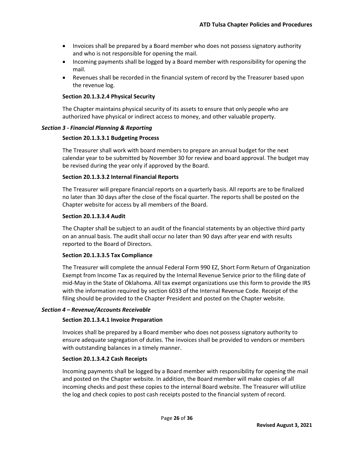- Invoices shall be prepared by a Board member who does not possess signatory authority and who is not responsible for opening the mail.
- Incoming payments shall be logged by a Board member with responsibility for opening the mail.
- Revenues shall be recorded in the financial system of record by the Treasurer based upon the revenue log.

#### **Section 20.1.3.2.4 Physical Security**

The Chapter maintains physical security of its assets to ensure that only people who are authorized have physical or indirect access to money, and other valuable property.

#### *Section 3 - Financial Planning & Reporting*

#### **Section 20.1.3.3.1 Budgeting Process**

The Treasurer shall work with board members to prepare an annual budget for the next calendar year to be submitted by November 30 for review and board approval. The budget may be revised during the year only if approved by the Board.

#### **Section 20.1.3.3.2 Internal Financial Reports**

The Treasurer will prepare financial reports on a quarterly basis. All reports are to be finalized no later than 30 days after the close of the fiscal quarter. The reports shall be posted on the Chapter website for access by all members of the Board.

#### **Section 20.1.3.3.4 Audit**

The Chapter shall be subject to an audit of the financial statements by an objective third party on an annual basis. The audit shall occur no later than 90 days after year end with results reported to the Board of Directors.

#### **Section 20.1.3.3.5 Tax Compliance**

The Treasurer will complete the annual Federal Form 990 EZ, Short Form Return of Organization Exempt from Income Tax as required by the Internal Revenue Service prior to the filing date of mid-May in the State of Oklahoma. All tax exempt organizations use this form to provide the IRS with the information required by section 6033 of the Internal Revenue Code. Receipt of the filing should be provided to the Chapter President and posted on the Chapter website.

#### *Section 4 – Revenue/Accounts Receivable*

#### **Section 20.1.3.4.1 Invoice Preparation**

Invoices shall be prepared by a Board member who does not possess signatory authority to ensure adequate segregation of duties. The invoices shall be provided to vendors or members with outstanding balances in a timely manner.

#### **Section 20.1.3.4.2 Cash Receipts**

Incoming payments shall be logged by a Board member with responsibility for opening the mail and posted on the Chapter website. In addition, the Board member will make copies of all incoming checks and post these copies to the internal Board website. The Treasurer will utilize the log and check copies to post cash receipts posted to the financial system of record.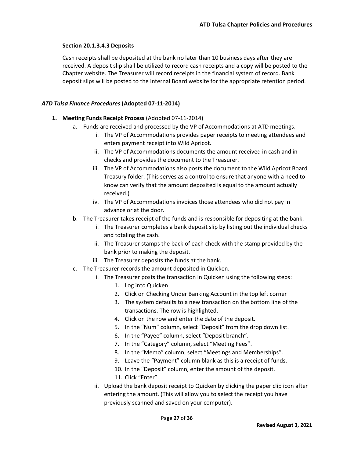## **Section 20.1.3.4.3 Deposits**

Cash receipts shall be deposited at the bank no later than 10 business days after they are received. A deposit slip shall be utilized to record cash receipts and a copy will be posted to the Chapter website. The Treasurer will record receipts in the financial system of record. Bank deposit slips will be posted to the internal Board website for the appropriate retention period.

# *ATD Tulsa Finance Procedures* **(Adopted 07-11-2014)**

# **1. Meeting Funds Receipt Process** (Adopted 07-11-2014)

- a. Funds are received and processed by the VP of Accommodations at ATD meetings.
	- i. The VP of Accommodations provides paper receipts to meeting attendees and enters payment receipt into Wild Apricot.
	- ii. The VP of Accommodations documents the amount received in cash and in checks and provides the document to the Treasurer.
	- iii. The VP of Accommodations also posts the document to the Wild Apricot Board Treasury folder. (This serves as a control to ensure that anyone with a need to know can verify that the amount deposited is equal to the amount actually received.)
	- iv. The VP of Accommodations invoices those attendees who did not pay in advance or at the door.
- b. The Treasurer takes receipt of the funds and is responsible for depositing at the bank.
	- i. The Treasurer completes a bank deposit slip by listing out the individual checks and totaling the cash.
	- ii. The Treasurer stamps the back of each check with the stamp provided by the bank prior to making the deposit.
	- iii. The Treasurer deposits the funds at the bank.
- c. The Treasurer records the amount deposited in Quicken.
	- i. The Treasurer posts the transaction in Quicken using the following steps:
		- 1. Log into Quicken
		- 2. Click on Checking Under Banking Account in the top left corner
		- 3. The system defaults to a new transaction on the bottom line of the transactions. The row is highlighted.
		- 4. Click on the row and enter the date of the deposit.
		- 5. In the "Num" column, select "Deposit" from the drop down list.
		- 6. In the "Payee" column, select "Deposit branch".
		- 7. In the "Category" column, select "Meeting Fees".
		- 8. In the "Memo" column, select "Meetings and Memberships".
		- 9. Leave the "Payment" column blank as this is a receipt of funds.
		- 10. In the "Deposit" column, enter the amount of the deposit.
		- 11. Click "Enter".
	- ii. Upload the bank deposit receipt to Quicken by clicking the paper clip icon after entering the amount. (This will allow you to select the receipt you have previously scanned and saved on your computer).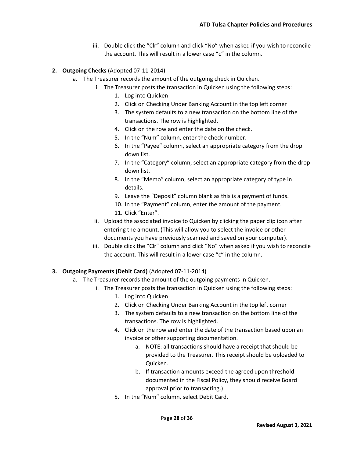- iii. Double click the "Clr" column and click "No" when asked if you wish to reconcile the account. This will result in a lower case "c" in the column.
- **2. Outgoing Checks** (Adopted 07-11-2014)
	- a. The Treasurer records the amount of the outgoing check in Quicken.
		- i. The Treasurer posts the transaction in Quicken using the following steps:
			- 1. Log into Quicken
			- 2. Click on Checking Under Banking Account in the top left corner
			- 3. The system defaults to a new transaction on the bottom line of the transactions. The row is highlighted.
			- 4. Click on the row and enter the date on the check.
			- 5. In the "Num" column, enter the check number.
			- 6. In the "Payee" column, select an appropriate category from the drop down list.
			- 7. In the "Category" column, select an appropriate category from the drop down list.
			- 8. In the "Memo" column, select an appropriate category of type in details.
			- 9. Leave the "Deposit" column blank as this is a payment of funds.
			- 10. In the "Payment" column, enter the amount of the payment.
			- 11. Click "Enter".
		- ii. Upload the associated invoice to Quicken by clicking the paper clip icon after entering the amount. (This will allow you to select the invoice or other documents you have previously scanned and saved on your computer).
		- iii. Double click the "Clr" column and click "No" when asked if you wish to reconcile the account. This will result in a lower case "c" in the column.

## **3. Outgoing Payments (Debit Card)** (Adopted 07-11-2014)

- a. The Treasurer records the amount of the outgoing payments in Quicken.
	- i. The Treasurer posts the transaction in Quicken using the following steps:
		- 1. Log into Quicken
		- 2. Click on Checking Under Banking Account in the top left corner
		- 3. The system defaults to a new transaction on the bottom line of the transactions. The row is highlighted.
		- 4. Click on the row and enter the date of the transaction based upon an invoice or other supporting documentation.
			- a. NOTE: all transactions should have a receipt that should be provided to the Treasurer. This receipt should be uploaded to Quicken.
			- b. If transaction amounts exceed the agreed upon threshold documented in the Fiscal Policy, they should receive Board approval prior to transacting.)
		- 5. In the "Num" column, select Debit Card.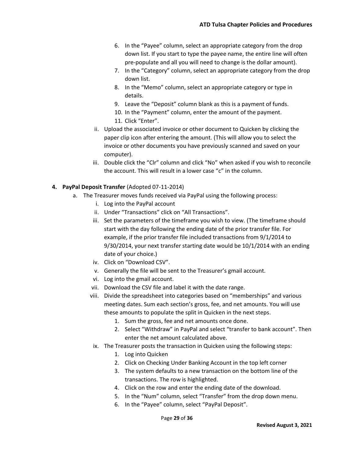- 6. In the "Payee" column, select an appropriate category from the drop down list. If you start to type the payee name, the entire line will often pre-populate and all you will need to change is the dollar amount).
- 7. In the "Category" column, select an appropriate category from the drop down list.
- 8. In the "Memo" column, select an appropriate category or type in details.
- 9. Leave the "Deposit" column blank as this is a payment of funds.
- 10. In the "Payment" column, enter the amount of the payment.
- 11. Click "Enter".
- ii. Upload the associated invoice or other document to Quicken by clicking the paper clip icon after entering the amount. (This will allow you to select the invoice or other documents you have previously scanned and saved on your computer).
- iii. Double click the "Clr" column and click "No" when asked if you wish to reconcile the account. This will result in a lower case "c" in the column.

## **4. PayPal Deposit Transfer** (Adopted 07-11-2014)

- a. The Treasurer moves funds received via PayPal using the following process:
	- i. Log into the PayPal account
	- ii. Under "Transactions" click on "All Transactions".
	- iii. Set the parameters of the timeframe you wish to view. (The timeframe should start with the day following the ending date of the prior transfer file. For example, if the prior transfer file included transactions from 9/1/2014 to 9/30/2014, your next transfer starting date would be 10/1/2014 with an ending date of your choice.)
	- iv. Click on "Download CSV".
	- v. Generally the file will be sent to the Treasurer's gmail account.
	- vi. Log into the gmail account.
	- vii. Download the CSV file and label it with the date range.
	- viii. Divide the spreadsheet into categories based on "memberships" and various meeting dates. Sum each section's gross, fee, and net amounts. You will use these amounts to populate the split in Quicken in the next steps.
		- 1. Sum the gross, fee and net amounts once done.
		- 2. Select "Withdraw" in PayPal and select "transfer to bank account". Then enter the net amount calculated above.
	- ix. The Treasurer posts the transaction in Quicken using the following steps:
		- 1. Log into Quicken
		- 2. Click on Checking Under Banking Account in the top left corner
		- 3. The system defaults to a new transaction on the bottom line of the transactions. The row is highlighted.
		- 4. Click on the row and enter the ending date of the download.
		- 5. In the "Num" column, select "Transfer" from the drop down menu.
		- 6. In the "Payee" column, select "PayPal Deposit".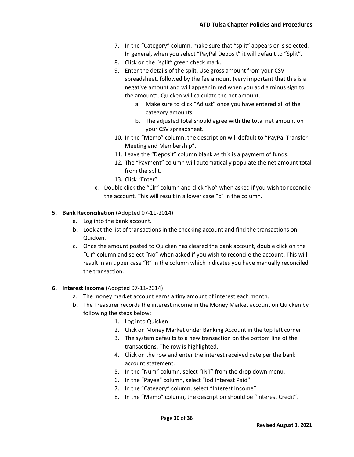- 7. In the "Category" column, make sure that "split" appears or is selected. In general, when you select "PayPal Deposit" it will default to "Split".
- 8. Click on the "split" green check mark.
- 9. Enter the details of the split. Use gross amount from your CSV spreadsheet, followed by the fee amount (very important that this is a negative amount and will appear in red when you add a minus sign to the amount". Quicken will calculate the net amount.
	- a. Make sure to click "Adjust" once you have entered all of the category amounts.
	- b. The adjusted total should agree with the total net amount on your CSV spreadsheet.
- 10. In the "Memo" column, the description will default to "PayPal Transfer Meeting and Membership".
- 11. Leave the "Deposit" column blank as this is a payment of funds.
- 12. The "Payment" column will automatically populate the net amount total from the split.
- 13. Click "Enter".
- x. Double click the "Clr" column and click "No" when asked if you wish to reconcile the account. This will result in a lower case "c" in the column.

## **5. Bank Reconciliation** (Adopted 07-11-2014)

- a. Log into the bank account.
- b. Look at the list of transactions in the checking account and find the transactions on Quicken.
- c. Once the amount posted to Quicken has cleared the bank account, double click on the "Clr" column and select "No" when asked if you wish to reconcile the account. This will result in an upper case "R" in the column which indicates you have manually reconciled the transaction.

#### **6. Interest Income** (Adopted 07-11-2014)

- a. The money market account earns a tiny amount of interest each month.
- b. The Treasurer records the interest income in the Money Market account on Quicken by following the steps below:
	- 1. Log into Quicken
	- 2. Click on Money Market under Banking Account in the top left corner
	- 3. The system defaults to a new transaction on the bottom line of the transactions. The row is highlighted.
	- 4. Click on the row and enter the interest received date per the bank account statement.
	- 5. In the "Num" column, select "INT" from the drop down menu.
	- 6. In the "Payee" column, select "Iod Interest Paid".
	- 7. In the "Category" column, select "Interest Income".
	- 8. In the "Memo" column, the description should be "Interest Credit".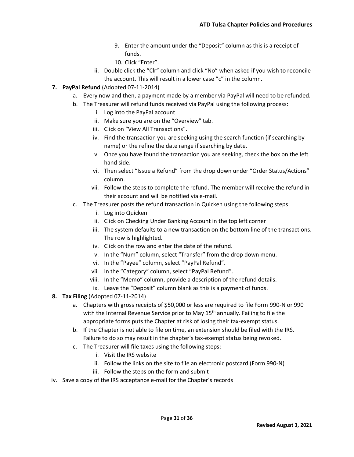- 9. Enter the amount under the "Deposit" column as this is a receipt of funds.
- 10. Click "Enter".
- ii. Double click the "Clr" column and click "No" when asked if you wish to reconcile the account. This will result in a lower case "c" in the column.
- **7. PayPal Refund** (Adopted 07-11-2014)
	- a. Every now and then, a payment made by a member via PayPal will need to be refunded.
	- b. The Treasurer will refund funds received via PayPal using the following process:
		- i. Log into the PayPal account
		- ii. Make sure you are on the "Overview" tab.
		- iii. Click on "View All Transactions".
		- iv. Find the transaction you are seeking using the search function (if searching by name) or the refine the date range if searching by date.
		- v. Once you have found the transaction you are seeking, check the box on the left hand side.
		- vi. Then select "Issue a Refund" from the drop down under "Order Status/Actions" column.
		- vii. Follow the steps to complete the refund. The member will receive the refund in their account and will be notified via e-mail.
	- c. The Treasurer posts the refund transaction in Quicken using the following steps:
		- i. Log into Quicken
		- ii. Click on Checking Under Banking Account in the top left corner
		- iii. The system defaults to a new transaction on the bottom line of the transactions. The row is highlighted.
		- iv. Click on the row and enter the date of the refund.
		- v. In the "Num" column, select "Transfer" from the drop down menu.
		- vi. In the "Payee" column, select "PayPal Refund".
		- vii. In the "Category" column, select "PayPal Refund".
		- viii. In the "Memo" column, provide a description of the refund details.
		- ix. Leave the "Deposit" column blank as this is a payment of funds.
- **8. Tax Filing** (Adopted 07-11-2014)
	- a. Chapters with gross receipts of \$50,000 or less are required to file Form 990-N or 990 with the Internal Revenue Service prior to May  $15<sup>th</sup>$  annually. Failing to file the appropriate forms puts the Chapter at risk of losing their tax-exempt status.
	- b. If the Chapter is not able to file on time, an extension should be filed with the IRS. Failure to do so may result in the chapter's tax-exempt status being revoked.
	- c. The Treasurer will file taxes using the following steps:
		- i. Visit the [IRS website](http://www.irs.gov/uac/e-file-for-Charities-and-Non-Profits)
		- ii. Follow the links on the site to file an electronic postcard (Form 990-N)
		- iii. Follow the steps on the form and submit
- iv. Save a copy of the IRS acceptance e-mail for the Chapter's records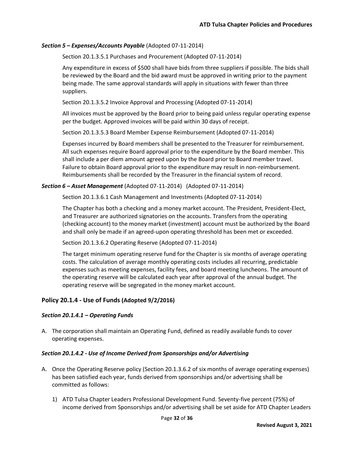#### *Section 5 – Expenses/Accounts Payable* (Adopted 07-11-2014)

Section 20.1.3.5.1 Purchases and Procurement (Adopted 07-11-2014)

Any expenditure in excess of \$500 shall have bids from three suppliers if possible. The bids shall be reviewed by the Board and the bid award must be approved in writing prior to the payment being made. The same approval standards will apply in situations with fewer than three suppliers.

Section 20.1.3.5.2 Invoice Approval and Processing (Adopted 07-11-2014)

All invoices must be approved by the Board prior to being paid unless regular operating expense per the budget. Approved invoices will be paid within 30 days of receipt.

Section 20.1.3.5.3 Board Member Expense Reimbursement (Adopted 07-11-2014)

Expenses incurred by Board members shall be presented to the Treasurer for reimbursement. All such expenses require Board approval prior to the expenditure by the Board member. This shall include a per diem amount agreed upon by the Board prior to Board member travel. Failure to obtain Board approval prior to the expenditure may result in non-reimbursement. Reimbursements shall be recorded by the Treasurer in the financial system of record.

#### *Section 6 – Asset Management* (Adopted 07-11-2014) (Adopted 07-11-2014)

Section 20.1.3.6.1 Cash Management and Investments (Adopted 07-11-2014)

The Chapter has both a checking and a money market account. The President, President-Elect, and Treasurer are authorized signatories on the accounts. Transfers from the operating (checking account) to the money market (investment) account must be authorized by the Board and shall only be made if an agreed-upon operating threshold has been met or exceeded.

Section 20.1.3.6.2 Operating Reserve (Adopted 07-11-2014)

The target minimum operating reserve fund for the Chapter is six months of average operating costs. The calculation of average monthly operating costs includes all recurring, predictable expenses such as meeting expenses, facility fees, and board meeting luncheons. The amount of the operating reserve will be calculated each year after approval of the annual budget. The operating reserve will be segregated in the money market account.

#### <span id="page-31-0"></span>**Policy 20.1.4 - Use of Funds (Adopted 9/2/2016)**

#### *Section 20.1.4.1 – Operating Funds*

A. The corporation shall maintain an Operating Fund, defined as readily available funds to cover operating expenses.

#### *Section 20.1.4.2 - Use of Income Derived from Sponsorships and/or Advertising*

- A. Once the Operating Reserve policy (Section 20.1.3.6.2 of six months of average operating expenses) has been satisfied each year, funds derived from sponsorships and/or advertising shall be committed as follows:
	- 1) ATD Tulsa Chapter Leaders Professional Development Fund. Seventy-five percent (75%) of income derived from Sponsorships and/or advertising shall be set aside for ATD Chapter Leaders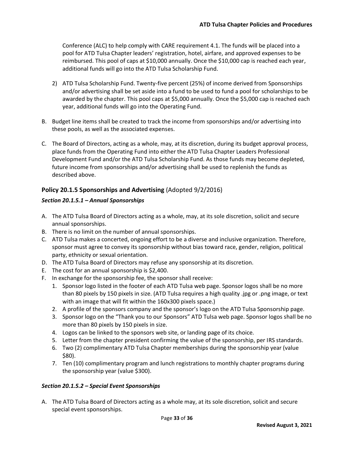Conference (ALC) to help comply with CARE requirement 4.1. The funds will be placed into a pool for ATD Tulsa Chapter leaders' registration, hotel, airfare, and approved expenses to be reimbursed. This pool of caps at \$10,000 annually. Once the \$10,000 cap is reached each year, additional funds will go into the ATD Tulsa Scholarship Fund.

- 2) ATD Tulsa Scholarship Fund. Twenty-five percent (25%) of income derived from Sponsorships and/or advertising shall be set aside into a fund to be used to fund a pool for scholarships to be awarded by the chapter. This pool caps at \$5,000 annually. Once the \$5,000 cap is reached each year, additional funds will go into the Operating Fund.
- B. Budget line items shall be created to track the income from sponsorships and/or advertising into these pools, as well as the associated expenses.
- C. The Board of Directors, acting as a whole, may, at its discretion, during its budget approval process, place funds from the Operating Fund into either the ATD Tulsa Chapter Leaders Professional Development Fund and/or the ATD Tulsa Scholarship Fund. As those funds may become depleted, future income from sponsorships and/or advertising shall be used to replenish the funds as described above.

# <span id="page-32-0"></span>**Policy 20.1.5 Sponsorships and Advertising** (Adopted 9/2/2016)

#### *Section 20.1.5.1 – Annual Sponsorships*

- A. The ATD Tulsa Board of Directors acting as a whole, may, at its sole discretion, solicit and secure annual sponsorships.
- B. There is no limit on the number of annual sponsorships.
- C. ATD Tulsa makes a concerted, ongoing effort to be a diverse and inclusive organization. Therefore, sponsor must agree to convey its sponsorship without bias toward race, gender, religion, political party, ethnicity or sexual orientation.
- D. The ATD Tulsa Board of Directors may refuse any sponsorship at its discretion.
- E. The cost for an annual sponsorship is \$2,400.
- F. In exchange for the sponsorship fee, the sponsor shall receive:
	- 1. Sponsor logo listed in the footer of each ATD Tulsa web page. Sponsor logos shall be no more than 80 pixels by 150 pixels in size. (ATD Tulsa requires a high quality .jpg or .png image, or text with an image that will fit within the 160x300 pixels space.)
	- 2. A profile of the sponsors company and the sponsor's logo on the ATD Tulsa Sponsorship page.
	- 3. Sponsor logo on the "Thank you to our Sponsors" ATD Tulsa web page. Sponsor logos shall be no more than 80 pixels by 150 pixels in size.
	- 4. Logos can be linked to the sponsors web site, or landing page of its choice.
	- 5. Letter from the chapter president confirming the value of the sponsorship, per IRS standards.
	- 6. Two (2) complimentary ATD Tulsa Chapter memberships during the sponsorship year (value \$80).
	- 7. Ten (10) complimentary program and lunch registrations to monthly chapter programs during the sponsorship year (value \$300).

#### *Section 20.1.5.2 – Special Event Sponsorships*

A. The ATD Tulsa Board of Directors acting as a whole may, at its sole discretion, solicit and secure special event sponsorships.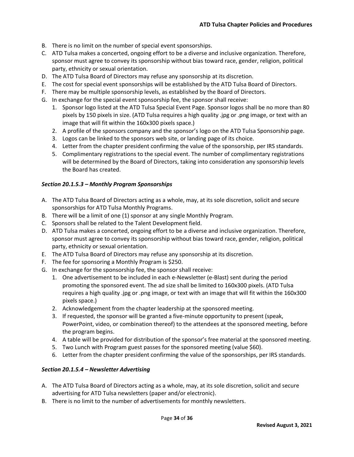- B. There is no limit on the number of special event sponsorships.
- C. ATD Tulsa makes a concerted, ongoing effort to be a diverse and inclusive organization. Therefore, sponsor must agree to convey its sponsorship without bias toward race, gender, religion, political party, ethnicity or sexual orientation.
- D. The ATD Tulsa Board of Directors may refuse any sponsorship at its discretion.
- E. The cost for special event sponsorships will be established by the ATD Tulsa Board of Directors.
- F. There may be multiple sponsorship levels, as established by the Board of Directors.
- G. In exchange for the special event sponsorship fee, the sponsor shall receive:
	- 1. Sponsor logo listed at the ATD Tulsa Special Event Page. Sponsor logos shall be no more than 80 pixels by 150 pixels in size. (ATD Tulsa requires a high quality .jpg or .png image, or text with an image that will fit within the 160x300 pixels space.)
	- 2. A profile of the sponsors company and the sponsor's logo on the ATD Tulsa Sponsorship page.
	- 3. Logos can be linked to the sponsors web site, or landing page of its choice.
	- 4. Letter from the chapter president confirming the value of the sponsorship, per IRS standards.
	- 5. Complimentary registrations to the special event. The number of complimentary registrations will be determined by the Board of Directors, taking into consideration any sponsorship levels the Board has created.

#### *Section 20.1.5.3 – Monthly Program Sponsorships*

- A. The ATD Tulsa Board of Directors acting as a whole, may, at its sole discretion, solicit and secure sponsorships for ATD Tulsa Monthly Programs.
- B. There will be a limit of one (1) sponsor at any single Monthly Program.
- C. Sponsors shall be related to the Talent Development field.
- D. ATD Tulsa makes a concerted, ongoing effort to be a diverse and inclusive organization. Therefore, sponsor must agree to convey its sponsorship without bias toward race, gender, religion, political party, ethnicity or sexual orientation.
- E. The ATD Tulsa Board of Directors may refuse any sponsorship at its discretion.
- F. The fee for sponsoring a Monthly Program is \$250.
- G. In exchange for the sponsorship fee, the sponsor shall receive:
	- 1. One advertisement to be included in each e-Newsletter (e-Blast) sent during the period promoting the sponsored event. The ad size shall be limited to 160x300 pixels. (ATD Tulsa requires a high quality .jpg or .png image, or text with an image that will fit within the 160x300 pixels space.)
	- 2. Acknowledgement from the chapter leadership at the sponsored meeting.
	- 3. If requested, the sponsor will be granted a five-minute opportunity to present (speak, PowerPoint, video, or combination thereof) to the attendees at the sponsored meeting, before the program begins.
	- 4. A table will be provided for distribution of the sponsor's free material at the sponsored meeting.
	- 5. Two Lunch with Program guest passes for the sponsored meeting (value \$60).
	- 6. Letter from the chapter president confirming the value of the sponsorships, per IRS standards.

#### *Section 20.1.5.4 – Newsletter Advertising*

- A. The ATD Tulsa Board of Directors acting as a whole, may, at its sole discretion, solicit and secure advertising for ATD Tulsa newsletters (paper and/or electronic).
- B. There is no limit to the number of advertisements for monthly newsletters.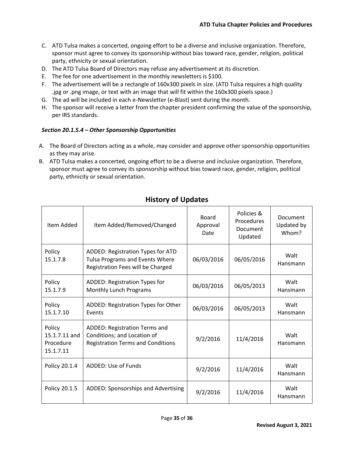- C. ATD Tulsa makes a concerted, ongoing effort to be a diverse and inclusive organization. Therefore, sponsor must agree to convey its sponsorship without bias toward race, gender, religion, political party, ethnicity or sexual orientation.
- D. The ATD Tulsa Board of Directors may refuse any advertisement at its discretion.
- E. The fee for one advertisement in the monthly newsletters is \$100.
- F. The advertisement will be a rectangle of 160x300 pixels in size. (ATD Tulsa requires a high quality .jpg or .png image, or text with an image that will fit within the 160x300 pixels space.)
- G. The ad will be included in each e-Newsletter (e-Blast) sent during the month.
- H. The sponsor will receive a letter from the chapter president confirming the value of the sponsorship, per IRS standards.

# *Section 20.1.5.4 – Other Sponsorship Opportunities*

- A. The Board of Directors acting as a whole, may consider and approve other sponsorship opportunities as they may arise.
- B. ATD Tulsa makes a concerted, ongoing effort to be a diverse and inclusive organization. Therefore, sponsor must agree to convey its sponsorship without bias toward race, gender, religion, political party, ethnicity or sexual orientation.

<span id="page-34-0"></span>

| Item Added                                        | Item Added/Removed/Changed                                                                                       | <b>Board</b><br>Approval<br>Date | Policies &<br>Procedures<br>Document<br>Updated | Document<br>Updated by<br>Whom? |
|---------------------------------------------------|------------------------------------------------------------------------------------------------------------------|----------------------------------|-------------------------------------------------|---------------------------------|
| Policy<br>15.1.7.8                                | ADDED: Registration Types for ATD<br><b>Tulsa Programs and Events Where</b><br>Registration Fees will be Charged | 06/03/2016                       | 06/05/2016                                      | Walt<br>Hansmann                |
| Policy<br>15.1.7.9                                | ADDED: Registration Types for<br>Monthly Lunch Programs                                                          | 06/03/2016                       | 06/05/2013                                      | Walt<br>Hansmann                |
| Policy<br>15.1.7.10                               | ADDED: Registration Types for Other<br>Events                                                                    | 06/03/2016                       | 06/05/2013                                      | Walt<br>Hansmann                |
| Policy<br>15.1.7.11 and<br>Procedure<br>15.1.7.11 | ADDED: Registration Terms and<br>Conditions; and Location of<br><b>Registration Terms and Conditions</b>         | 9/2/2016                         | 11/4/2016                                       | Walt<br>Hansmann                |
| Policy 20.1.4                                     | ADDED: Use of Funds                                                                                              | 9/2/2016                         | 11/4/2016                                       | Walt<br>Hansmann                |
| Policy 20.1.5                                     | ADDED: Sponsorships and Advertising                                                                              | 9/2/2016                         | 11/4/2016                                       | Walt<br>Hansmann                |

# **History of Updates**